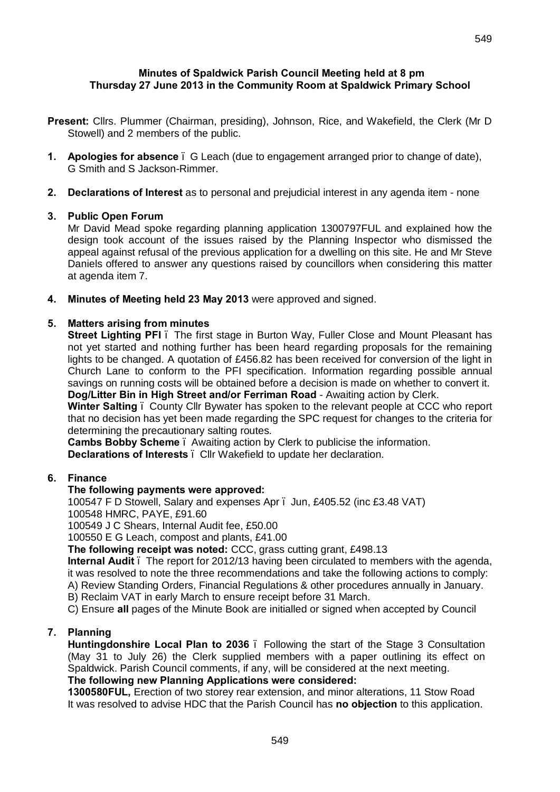#### **Minutes of Spaldwick Parish Council Meeting held at 8 pm Thursday 27 June 2013 in the Community Room at Spaldwick Primary School**

- **Present:** Cllrs. Plummer (Chairman, presiding), Johnson, Rice, and Wakefield, the Clerk (Mr D Stowell) and 2 members of the public.
- **1. Apologies for absence**  G Leach (due to engagement arranged prior to change of date), G Smith and S Jackson-Rimmer.
- **2. Declarations of Interest** as to personal and prejudicial interest in any agenda item none

# **3. Public Open Forum**

Mr David Mead spoke regarding planning application 1300797FUL and explained how the design took account of the issues raised by the Planning Inspector who dismissed the appeal against refusal of the previous application for a dwelling on this site. He and Mr Steve Daniels offered to answer any questions raised by councillors when considering this matter at agenda item 7.

**4. Minutes of Meeting held 23 May 2013** were approved and signed.

### **5. Matters arising from minutes**

**Street Lighting PFI**. The first stage in Burton Way, Fuller Close and Mount Pleasant has not yet started and nothing further has been heard regarding proposals for the remaining lights to be changed. A quotation of £456.82 has been received for conversion of the light in Church Lane to conform to the PFI specification. Information regarding possible annual savings on running costs will be obtained before a decision is made on whether to convert it. **Dog/Litter Bin in High Street and/or Ferriman Road** - Awaiting action by Clerk.

**Winter Salting** – County Cllr Bywater has spoken to the relevant people at CCC who report that no decision has yet been made regarding the SPC request for changes to the criteria for determining the precautionary salting routes.

**Cambs Bobby Scheme** – Awaiting action by Clerk to publicise the information.

**Declarations of Interests** – Cllr Wakefield to update her declaration.

# **6. Finance**

# **The following payments were approved:**

100547 F D Stowell, Salary and expenses Apr – Jun, £405.52 (inc £3.48 VAT) 100548 HMRC, PAYE, £91.60

100549 J C Shears, Internal Audit fee, £50.00

100550 E G Leach, compost and plants, £41.00

**The following receipt was noted:** CCC, grass cutting grant, £498.13

**Internal Audit** – The report for 2012/13 having been circulated to members with the agenda, it was resolved to note the three recommendations and take the following actions to comply:

A) Review Standing Orders, Financial Regulations & other procedures annually in January.

- B) Reclaim VAT in early March to ensure receipt before 31 March.
- C) Ensure **all** pages of the Minute Book are initialled or signed when accepted by Council

# **7. Planning**

**Huntingdonshire Local Plan to 2036** – Following the start of the Stage 3 Consultation (May 31 to July 26) the Clerk supplied members with a paper outlining its effect on Spaldwick. Parish Council comments, if any, will be considered at the next meeting. **The following new Planning Applications were considered:**

**1300580FUL,** Erection of two storey rear extension, and minor alterations, 11 Stow Road It was resolved to advise HDC that the Parish Council has **no objection** to this application.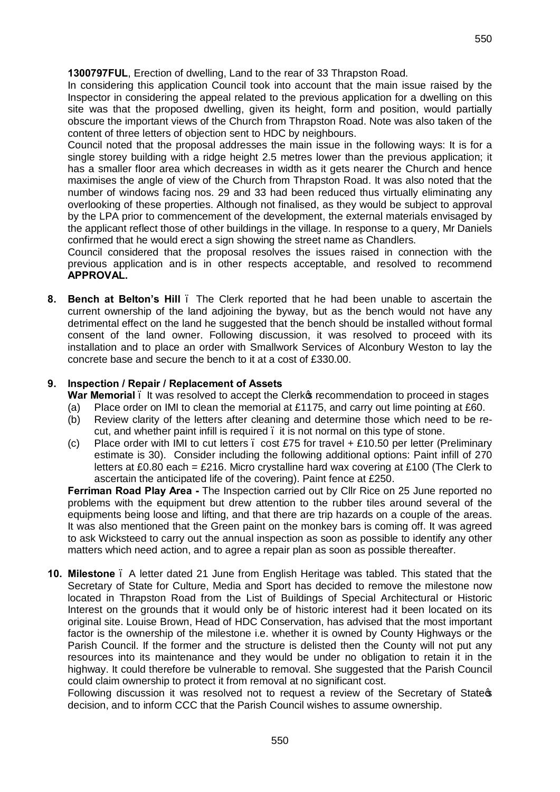**1300797FUL**, Erection of dwelling, Land to the rear of 33 Thrapston Road.

In considering this application Council took into account that the main issue raised by the Inspector in considering the appeal related to the previous application for a dwelling on this site was that the proposed dwelling, given its height, form and position, would partially obscure the important views of the Church from Thrapston Road. Note was also taken of the content of three letters of objection sent to HDC by neighbours.

Council noted that the proposal addresses the main issue in the following ways: It is for a single storey building with a ridge height 2.5 metres lower than the previous application; it has a smaller floor area which decreases in width as it gets nearer the Church and hence maximises the angle of view of the Church from Thrapston Road. It was also noted that the number of windows facing nos. 29 and 33 had been reduced thus virtually eliminating any overlooking of these properties. Although not finalised, as they would be subject to approval by the LPA prior to commencement of the development, the external materials envisaged by the applicant reflect those of other buildings in the village. In response to a query, Mr Daniels confirmed that he would erect a sign showing the street name as Chandlers.

Council considered that the proposal resolves the issues raised in connection with the previous application and is in other respects acceptable, and resolved to recommend **APPROVAL.**

**8. Bench at Belton's Hill** – The Clerk reported that he had been unable to ascertain the current ownership of the land adjoining the byway, but as the bench would not have any detrimental effect on the land he suggested that the bench should be installed without formal consent of the land owner. Following discussion, it was resolved to proceed with its installation and to place an order with Smallwork Services of Alconbury Weston to lay the concrete base and secure the bench to it at a cost of £330.00.

# **9. Inspection / Repair / Replacement of Assets**

- **War Memorial**  $\blacksquare$  It was resolved to accept the Clerk operatommendation to proceed in stages
- (a) Place order on IMI to clean the memorial at £1175, and carry out lime pointing at  $£60$ .
- (b) Review clarity of the letters after cleaning and determine those which need to be recut, and whether paint infill is required . it is not normal on this type of stone.
- (c) Place order with IMI to cut letters  $\therefore$  cost £75 for travel + £10.50 per letter (Preliminary estimate is 30). Consider including the following additional options: Paint infill of 270 letters at £0.80 each = £216. Micro crystalline hard wax covering at £100 (The Clerk to ascertain the anticipated life of the covering). Paint fence at £250.

**Ferriman Road Play Area -** The Inspection carried out by Cllr Rice on 25 June reported no problems with the equipment but drew attention to the rubber tiles around several of the equipments being loose and lifting, and that there are trip hazards on a couple of the areas. It was also mentioned that the Green paint on the monkey bars is coming off. It was agreed to ask Wicksteed to carry out the annual inspection as soon as possible to identify any other matters which need action, and to agree a repair plan as soon as possible thereafter.

**10. Milestone** – A letter dated 21 June from English Heritage was tabled. This stated that the Secretary of State for Culture, Media and Sport has decided to remove the milestone now located in Thrapston Road from the List of Buildings of Special Architectural or Historic Interest on the grounds that it would only be of historic interest had it been located on its original site. Louise Brown, Head of HDC Conservation, has advised that the most important factor is the ownership of the milestone i.e. whether it is owned by County Highways or the Parish Council. If the former and the structure is delisted then the County will not put any resources into its maintenance and they would be under no obligation to retain it in the highway. It could therefore be vulnerable to removal. She suggested that the Parish Council could claim ownership to protect it from removal at no significant cost.

Following discussion it was resolved not to request a review of the Secretary of State of decision, and to inform CCC that the Parish Council wishes to assume ownership.